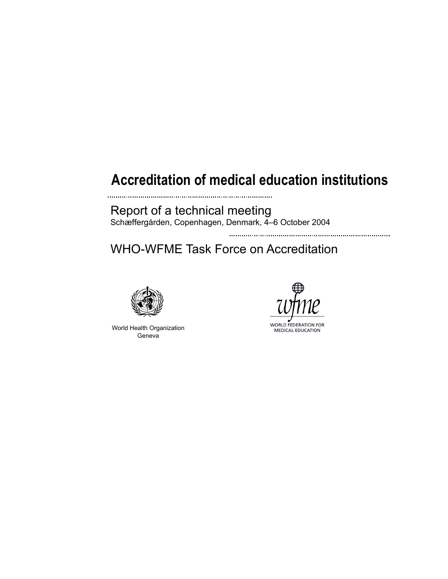# **Accreditation of medical education institutions**

Report of a technical meeting Schæffergården, Copenhagen, Denmark, 4–6 October 2004

WHO-WFME Task Force on Accreditation



World Health Organization Geneva

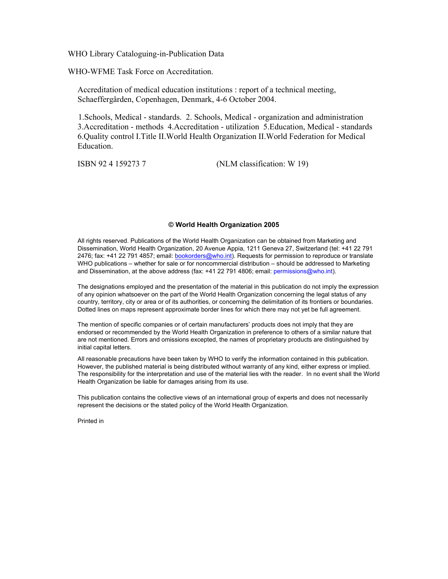WHO Library Cataloguing-in-Publication Data

WHO-WFME Task Force on Accreditation.

Accreditation of medical education institutions : report of a technical meeting, Schaeffergården, Copenhagen, Denmark, 4-6 October 2004.

 1.Schools, Medical - standards. 2. Schools, Medical - organization and administration 3.Accreditation - methods 4.Accreditation - utilization 5.Education, Medical - standards 6.Quality control I.Title II.World Health Organization II.World Federation for Medical Education.

ISBN 92 4 159273 7 (NLM classification: W 19)

#### **© World Health Organization 2005**

All rights reserved. Publications of the World Health Organization can be obtained from Marketing and Dissemination, World Health Organization, 20 Avenue Appia, 1211 Geneva 27, Switzerland (tel: +41 22 791 2476; fax: +41 22 791 4857; email: **bookorders@who.int**). Requests for permission to reproduce or translate WHO publications – whether for sale or for noncommercial distribution – should be addressed to Marketing and Dissemination, at the above address (fax: +41 22 791 4806; email: permissions@who.int).

The designations employed and the presentation of the material in this publication do not imply the expression of any opinion whatsoever on the part of the World Health Organization concerning the legal status of any country, territory, city or area or of its authorities, or concerning the delimitation of its frontiers or boundaries. Dotted lines on maps represent approximate border lines for which there may not yet be full agreement.

The mention of specific companies or of certain manufacturers' products does not imply that they are endorsed or recommended by the World Health Organization in preference to others of a similar nature that are not mentioned. Errors and omissions excepted, the names of proprietary products are distinguished by initial capital letters.

All reasonable precautions have been taken by WHO to verify the information contained in this publication. However, the published material is being distributed without warranty of any kind, either express or implied. The responsibility for the interpretation and use of the material lies with the reader. In no event shall the World Health Organization be liable for damages arising from its use.

This publication contains the collective views of an international group of experts and does not necessarily represent the decisions or the stated policy of the World Health Organization.

Printed in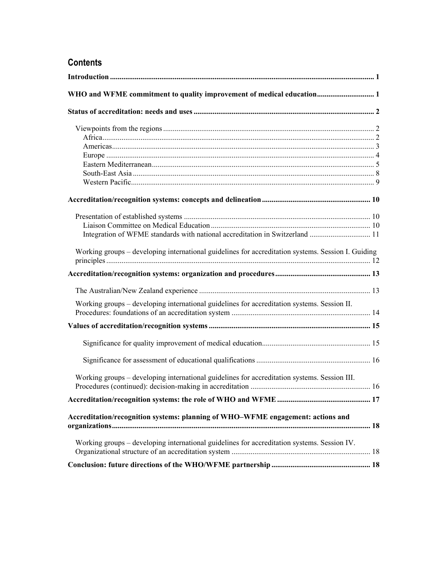# **Contents**

| WHO and WFME commitment to quality improvement of medical education 1                              |  |
|----------------------------------------------------------------------------------------------------|--|
|                                                                                                    |  |
|                                                                                                    |  |
|                                                                                                    |  |
|                                                                                                    |  |
|                                                                                                    |  |
|                                                                                                    |  |
|                                                                                                    |  |
|                                                                                                    |  |
|                                                                                                    |  |
|                                                                                                    |  |
|                                                                                                    |  |
| Integration of WFME standards with national accreditation in Switzerland  11                       |  |
| Working groups - developing international guidelines for accreditation systems. Session I. Guiding |  |
|                                                                                                    |  |
|                                                                                                    |  |
| Working groups – developing international guidelines for accreditation systems. Session II.        |  |
|                                                                                                    |  |
|                                                                                                    |  |
|                                                                                                    |  |
| Working groups – developing international guidelines for accreditation systems. Session III.       |  |
|                                                                                                    |  |
| Accreditation/recognition systems: planning of WHO-WFME engagement: actions and                    |  |
|                                                                                                    |  |
| Working groups – developing international guidelines for accreditation systems. Session IV.        |  |
|                                                                                                    |  |
|                                                                                                    |  |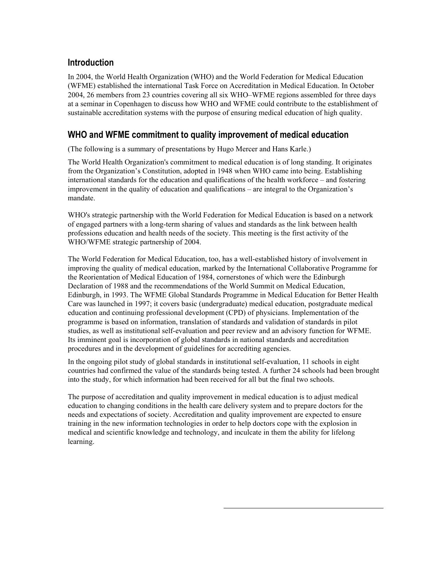# **Introduction**

In 2004, the World Health Organization (WHO) and the World Federation for Medical Education (WFME) established the international Task Force on Accreditation in Medical Education. In October 2004, 26 members from 23 countries covering all six WHO–WFME regions assembled for three days at a seminar in Copenhagen to discuss how WHO and WFME could contribute to the establishment of sustainable accreditation systems with the purpose of ensuring medical education of high quality.

# **WHO and WFME commitment to quality improvement of medical education**

(The following is a summary of presentations by Hugo Mercer and Hans Karle.)

The World Health Organization's commitment to medical education is of long standing. It originates from the Organization's Constitution, adopted in 1948 when WHO came into being. Establishing international standards for the education and qualifications of the health workforce – and fostering improvement in the quality of education and qualifications – are integral to the Organization's mandate.

WHO's strategic partnership with the World Federation for Medical Education is based on a network of engaged partners with a long-term sharing of values and standards as the link between health professions education and health needs of the society. This meeting is the first activity of the WHO/WFME strategic partnership of 2004.

The World Federation for Medical Education, too, has a well-established history of involvement in improving the quality of medical education, marked by the International Collaborative Programme for the Reorientation of Medical Education of 1984, cornerstones of which were the Edinburgh Declaration of 1988 and the recommendations of the World Summit on Medical Education, Edinburgh, in 1993. The WFME Global Standards Programme in Medical Education for Better Health Care was launched in 1997; it covers basic (undergraduate) medical education, postgraduate medical education and continuing professional development (CPD) of physicians. Implementation of the programme is based on information, translation of standards and validation of standards in pilot studies, as well as institutional self-evaluation and peer review and an advisory function for WFME. Its imminent goal is incorporation of global standards in national standards and accreditation procedures and in the development of guidelines for accrediting agencies.

In the ongoing pilot study of global standards in institutional self-evaluation, 11 schools in eight countries had confirmed the value of the standards being tested. A further 24 schools had been brought into the study, for which information had been received for all but the final two schools.

The purpose of accreditation and quality improvement in medical education is to adjust medical education to changing conditions in the health care delivery system and to prepare doctors for the needs and expectations of society. Accreditation and quality improvement are expected to ensure training in the new information technologies in order to help doctors cope with the explosion in medical and scientific knowledge and technology, and inculcate in them the ability for lifelong learning.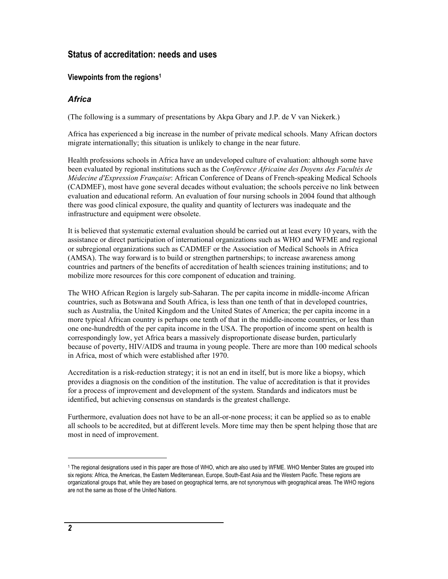# **Status of accreditation: needs and uses**

# **Viewpoints from the regions1**

# *Africa*

(The following is a summary of presentations by Akpa Gbary and J.P. de V van Niekerk.)

Africa has experienced a big increase in the number of private medical schools. Many African doctors migrate internationally; this situation is unlikely to change in the near future.

Health professions schools in Africa have an undeveloped culture of evaluation: although some have been evaluated by regional institutions such as the *Conférence Africaine des Doyens des Facultés de Médecine d'Expression Française*: African Conference of Deans of French-speaking Medical Schools (CADMEF), most have gone several decades without evaluation; the schools perceive no link between evaluation and educational reform. An evaluation of four nursing schools in 2004 found that although there was good clinical exposure, the quality and quantity of lecturers was inadequate and the infrastructure and equipment were obsolete.

It is believed that systematic external evaluation should be carried out at least every 10 years, with the assistance or direct participation of international organizations such as WHO and WFME and regional or subregional organizations such as CADMEF or the Association of Medical Schools in Africa (AMSA). The way forward is to build or strengthen partnerships; to increase awareness among countries and partners of the benefits of accreditation of health sciences training institutions; and to mobilize more resources for this core component of education and training.

The WHO African Region is largely sub-Saharan. The per capita income in middle-income African countries, such as Botswana and South Africa, is less than one tenth of that in developed countries, such as Australia, the United Kingdom and the United States of America; the per capita income in a more typical African country is perhaps one tenth of that in the middle-income countries, or less than one one-hundredth of the per capita income in the USA. The proportion of income spent on health is correspondingly low, yet Africa bears a massively disproportionate disease burden, particularly because of poverty, HIV/AIDS and trauma in young people. There are more than 100 medical schools in Africa, most of which were established after 1970.

Accreditation is a risk-reduction strategy; it is not an end in itself, but is more like a biopsy, which provides a diagnosis on the condition of the institution. The value of accreditation is that it provides for a process of improvement and development of the system. Standards and indicators must be identified, but achieving consensus on standards is the greatest challenge.

Furthermore, evaluation does not have to be an all-or-none process; it can be applied so as to enable all schools to be accredited, but at different levels. More time may then be spent helping those that are most in need of improvement.

 $\overline{a}$ 

<sup>1</sup> The regional designations used in this paper are those of WHO, which are also used by WFME. WHO Member States are grouped into six regions: Africa, the Americas, the Eastern Mediterranean, Europe, South-East Asia and the Western Pacific. These regions are organizational groups that, while they are based on geographical terms, are not synonymous with geographical areas. The WHO regions are not the same as those of the United Nations.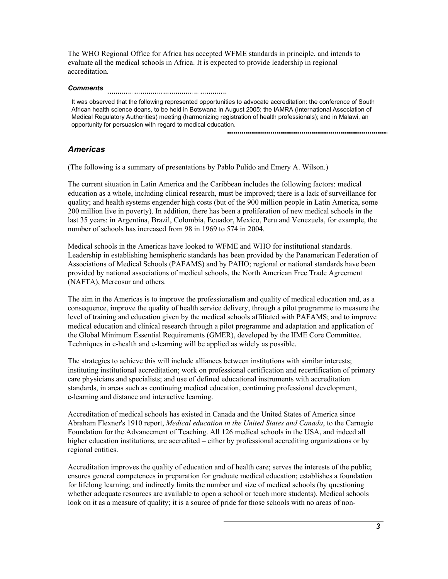The WHO Regional Office for Africa has accepted WFME standards in principle, and intends to evaluate all the medical schools in Africa. It is expected to provide leadership in regional accreditation.

#### *Comments*

It was observed that the following represented opportunities to advocate accreditation: the conference of South African health science deans, to be held in Botswana in August 2005; the IAMRA (International Association of Medical Regulatory Authorities) meeting (harmonizing registration of health professionals); and in Malawi, an opportunity for persuasion with regard to medical education.

### *Americas*

(The following is a summary of presentations by Pablo Pulido and Emery A. Wilson.)

The current situation in Latin America and the Caribbean includes the following factors: medical education as a whole, including clinical research, must be improved; there is a lack of surveillance for quality; and health systems engender high costs (but of the 900 million people in Latin America, some 200 million live in poverty). In addition, there has been a proliferation of new medical schools in the last 35 years: in Argentina, Brazil, Colombia, Ecuador, Mexico, Peru and Venezuela, for example, the number of schools has increased from 98 in 1969 to 574 in 2004.

Medical schools in the Americas have looked to WFME and WHO for institutional standards. Leadership in establishing hemispheric standards has been provided by the Panamerican Federation of Associations of Medical Schools (PAFAMS) and by PAHO; regional or national standards have been provided by national associations of medical schools, the North American Free Trade Agreement (NAFTA), Mercosur and others.

The aim in the Americas is to improve the professionalism and quality of medical education and, as a consequence, improve the quality of health service delivery, through a pilot programme to measure the level of training and education given by the medical schools affiliated with PAFAMS; and to improve medical education and clinical research through a pilot programme and adaptation and application of the Global Minimum Essential Requirements (GMER), developed by the IIME Core Committee. Techniques in e-health and e-learning will be applied as widely as possible.

The strategies to achieve this will include alliances between institutions with similar interests; instituting institutional accreditation; work on professional certification and recertification of primary care physicians and specialists; and use of defined educational instruments with accreditation standards, in areas such as continuing medical education, continuing professional development, e-learning and distance and interactive learning.

Accreditation of medical schools has existed in Canada and the United States of America since Abraham Flexner's 1910 report, *Medical education in the United States and Canada*, to the Carnegie Foundation for the Advancement of Teaching. All 126 medical schools in the USA, and indeed all higher education institutions, are accredited – either by professional accrediting organizations or by regional entities.

Accreditation improves the quality of education and of health care; serves the interests of the public; ensures general competences in preparation for graduate medical education; establishes a foundation for lifelong learning; and indirectly limits the number and size of medical schools (by questioning whether adequate resources are available to open a school or teach more students). Medical schools look on it as a measure of quality; it is a source of pride for those schools with no areas of non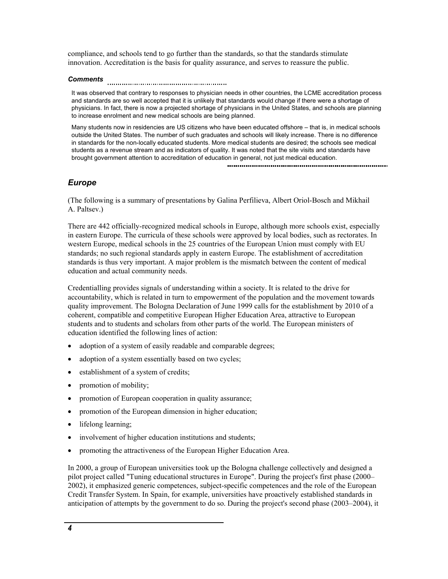compliance, and schools tend to go further than the standards, so that the standards stimulate innovation. Accreditation is the basis for quality assurance, and serves to reassure the public.

#### *Comments*

It was observed that contrary to responses to physician needs in other countries, the LCME accreditation process and standards are so well accepted that it is unlikely that standards would change if there were a shortage of physicians. In fact, there is now a projected shortage of physicians in the United States, and schools are planning to increase enrolment and new medical schools are being planned.

Many students now in residencies are US citizens who have been educated offshore – that is, in medical schools outside the United States. The number of such graduates and schools will likely increase. There is no difference in standards for the non-locally educated students. More medical students are desired; the schools see medical students as a revenue stream and as indicators of quality. It was noted that the site visits and standards have brought government attention to accreditation of education in general, not just medical education.

# *Europe*

(The following is a summary of presentations by Galina Perfilieva, Albert Oriol-Bosch and Mikhail A. Paltsev.)

There are 442 officially-recognized medical schools in Europe, although more schools exist, especially in eastern Europe. The curricula of these schools were approved by local bodies, such as rectorates. In western Europe, medical schools in the 25 countries of the European Union must comply with EU standards; no such regional standards apply in eastern Europe. The establishment of accreditation standards is thus very important. A major problem is the mismatch between the content of medical education and actual community needs.

Credentialling provides signals of understanding within a society. It is related to the drive for accountability, which is related in turn to empowerment of the population and the movement towards quality improvement. The Bologna Declaration of June 1999 calls for the establishment by 2010 of a coherent, compatible and competitive European Higher Education Area, attractive to European students and to students and scholars from other parts of the world. The European ministers of education identified the following lines of action:

- adoption of a system of easily readable and comparable degrees;
- adoption of a system essentially based on two cycles;
- establishment of a system of credits;
- promotion of mobility;
- promotion of European cooperation in quality assurance;
- promotion of the European dimension in higher education;
- lifelong learning;
- involvement of higher education institutions and students;
- promoting the attractiveness of the European Higher Education Area.

In 2000, a group of European universities took up the Bologna challenge collectively and designed a pilot project called "Tuning educational structures in Europe". During the project's first phase (2000– 2002), it emphasized generic competences, subject-specific competences and the role of the European Credit Transfer System. In Spain, for example, universities have proactively established standards in anticipation of attempts by the government to do so. During the project's second phase (2003–2004), it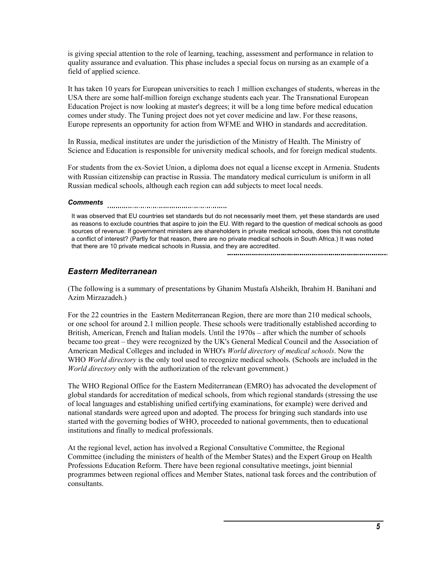is giving special attention to the role of learning, teaching, assessment and performance in relation to quality assurance and evaluation. This phase includes a special focus on nursing as an example of a field of applied science.

It has taken 10 years for European universities to reach 1 million exchanges of students, whereas in the USA there are some half-million foreign exchange students each year. The Transnational European Education Project is now looking at master's degrees; it will be a long time before medical education comes under study. The Tuning project does not yet cover medicine and law. For these reasons, Europe represents an opportunity for action from WFME and WHO in standards and accreditation.

In Russia, medical institutes are under the jurisdiction of the Ministry of Health. The Ministry of Science and Education is responsible for university medical schools, and for foreign medical students.

For students from the ex-Soviet Union, a diploma does not equal a license except in Armenia. Students with Russian citizenship can practise in Russia. The mandatory medical curriculum is uniform in all Russian medical schools, although each region can add subjects to meet local needs.

#### *Comments*

It was observed that EU countries set standards but do not necessarily meet them, yet these standards are used as reasons to exclude countries that aspire to join the EU. With regard to the question of medical schools as good sources of revenue: If government ministers are shareholders in private medical schools, does this not constitute a conflict of interest? (Partly for that reason, there are no private medical schools in South Africa.) It was noted that there are 10 private medical schools in Russia, and they are accredited.

# *Eastern Mediterranean*

(The following is a summary of presentations by Ghanim Mustafa Alsheikh, Ibrahim H. Banihani and Azim Mirzazadeh.)

For the 22 countries in the Eastern Mediterranean Region, there are more than 210 medical schools, or one school for around 2.1 million people. These schools were traditionally established according to British, American, French and Italian models. Until the 1970s – after which the number of schools became too great – they were recognized by the UK's General Medical Council and the Association of American Medical Colleges and included in WHO's *World directory of medical schools*. Now the WHO *World directory* is the only tool used to recognize medical schools. (Schools are included in the *World directory* only with the authorization of the relevant government.)

The WHO Regional Office for the Eastern Mediterranean (EMRO) has advocated the development of global standards for accreditation of medical schools, from which regional standards (stressing the use of local languages and establishing unified certifying examinations, for example) were derived and national standards were agreed upon and adopted. The process for bringing such standards into use started with the governing bodies of WHO, proceeded to national governments, then to educational institutions and finally to medical professionals.

At the regional level, action has involved a Regional Consultative Committee, the Regional Committee (including the ministers of health of the Member States) and the Expert Group on Health Professions Education Reform. There have been regional consultative meetings, joint biennial programmes between regional offices and Member States, national task forces and the contribution of consultants.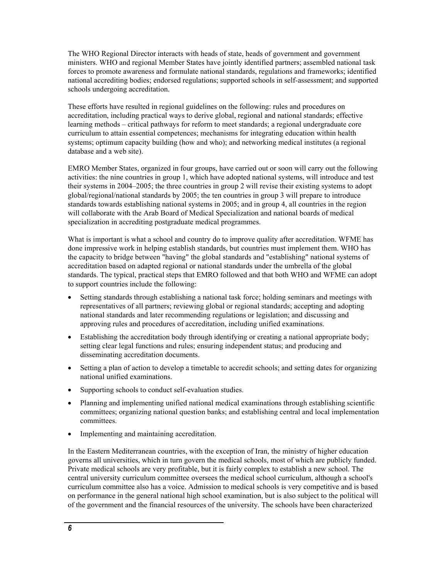The WHO Regional Director interacts with heads of state, heads of government and government ministers. WHO and regional Member States have jointly identified partners; assembled national task forces to promote awareness and formulate national standards, regulations and frameworks; identified national accrediting bodies; endorsed regulations; supported schools in self-assessment; and supported schools undergoing accreditation.

These efforts have resulted in regional guidelines on the following: rules and procedures on accreditation, including practical ways to derive global, regional and national standards; effective learning methods – critical pathways for reform to meet standards; a regional undergraduate core curriculum to attain essential competences; mechanisms for integrating education within health systems; optimum capacity building (how and who); and networking medical institutes (a regional database and a web site).

EMRO Member States, organized in four groups, have carried out or soon will carry out the following activities: the nine countries in group 1, which have adopted national systems, will introduce and test their systems in 2004–2005; the three countries in group 2 will revise their existing systems to adopt global/regional/national standards by 2005; the ten countries in group 3 will prepare to introduce standards towards establishing national systems in 2005; and in group 4, all countries in the region will collaborate with the Arab Board of Medical Specialization and national boards of medical specialization in accrediting postgraduate medical programmes.

What is important is what a school and country do to improve quality after accreditation. WFME has done impressive work in helping establish standards, but countries must implement them. WHO has the capacity to bridge between "having" the global standards and "establishing" national systems of accreditation based on adapted regional or national standards under the umbrella of the global standards. The typical, practical steps that EMRO followed and that both WHO and WFME can adopt to support countries include the following:

- Setting standards through establishing a national task force; holding seminars and meetings with representatives of all partners; reviewing global or regional standards; accepting and adopting national standards and later recommending regulations or legislation; and discussing and approving rules and procedures of accreditation, including unified examinations.
- Establishing the accreditation body through identifying or creating a national appropriate body; setting clear legal functions and rules; ensuring independent status; and producing and disseminating accreditation documents.
- Setting a plan of action to develop a timetable to accredit schools; and setting dates for organizing national unified examinations.
- Supporting schools to conduct self-evaluation studies.
- Planning and implementing unified national medical examinations through establishing scientific committees; organizing national question banks; and establishing central and local implementation committees.
- Implementing and maintaining accreditation.

In the Eastern Mediterranean countries, with the exception of Iran, the ministry of higher education governs all universities, which in turn govern the medical schools, most of which are publicly funded. Private medical schools are very profitable, but it is fairly complex to establish a new school. The central university curriculum committee oversees the medical school curriculum, although a school's curriculum committee also has a voice. Admission to medical schools is very competitive and is based on performance in the general national high school examination, but is also subject to the political will of the government and the financial resources of the university. The schools have been characterized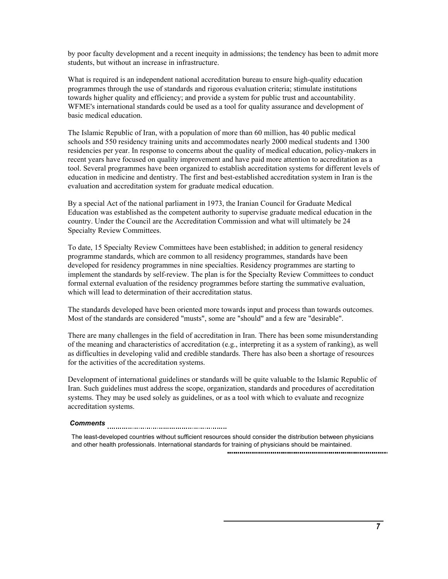by poor faculty development and a recent inequity in admissions; the tendency has been to admit more students, but without an increase in infrastructure.

What is required is an independent national accreditation bureau to ensure high-quality education programmes through the use of standards and rigorous evaluation criteria; stimulate institutions towards higher quality and efficiency; and provide a system for public trust and accountability. WFME's international standards could be used as a tool for quality assurance and development of basic medical education.

The Islamic Republic of Iran, with a population of more than 60 million, has 40 public medical schools and 550 residency training units and accommodates nearly 2000 medical students and 1300 residencies per year. In response to concerns about the quality of medical education, policy-makers in recent years have focused on quality improvement and have paid more attention to accreditation as a tool. Several programmes have been organized to establish accreditation systems for different levels of education in medicine and dentistry. The first and best-established accreditation system in Iran is the evaluation and accreditation system for graduate medical education.

By a special Act of the national parliament in 1973, the Iranian Council for Graduate Medical Education was established as the competent authority to supervise graduate medical education in the country. Under the Council are the Accreditation Commission and what will ultimately be 24 Specialty Review Committees.

To date, 15 Specialty Review Committees have been established; in addition to general residency programme standards, which are common to all residency programmes, standards have been developed for residency programmes in nine specialties. Residency programmes are starting to implement the standards by self-review. The plan is for the Specialty Review Committees to conduct formal external evaluation of the residency programmes before starting the summative evaluation, which will lead to determination of their accreditation status.

The standards developed have been oriented more towards input and process than towards outcomes. Most of the standards are considered "musts", some are "should" and a few are "desirable".

There are many challenges in the field of accreditation in Iran. There has been some misunderstanding of the meaning and characteristics of accreditation (e.g., interpreting it as a system of ranking), as well as difficulties in developing valid and credible standards. There has also been a shortage of resources for the activities of the accreditation systems.

Development of international guidelines or standards will be quite valuable to the Islamic Republic of Iran. Such guidelines must address the scope, organization, standards and procedures of accreditation systems. They may be used solely as guidelines, or as a tool with which to evaluate and recognize accreditation systems.

# *Comments*

The least-developed countries without sufficient resources should consider the distribution between physicians and other health professionals. International standards for training of physicians should be maintained.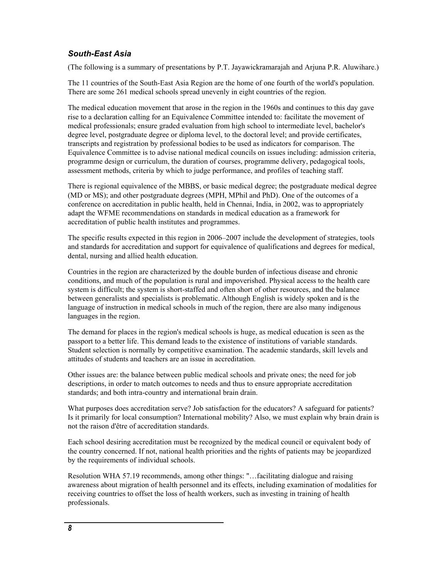# *South-East Asia*

(The following is a summary of presentations by P.T. Jayawickramarajah and Arjuna P.R. Aluwihare.)

The 11 countries of the South-East Asia Region are the home of one fourth of the world's population. There are some 261 medical schools spread unevenly in eight countries of the region.

The medical education movement that arose in the region in the 1960s and continues to this day gave rise to a declaration calling for an Equivalence Committee intended to: facilitate the movement of medical professionals; ensure graded evaluation from high school to intermediate level, bachelor's degree level, postgraduate degree or diploma level, to the doctoral level; and provide certificates, transcripts and registration by professional bodies to be used as indicators for comparison. The Equivalence Committee is to advise national medical councils on issues including: admission criteria, programme design or curriculum, the duration of courses, programme delivery, pedagogical tools, assessment methods, criteria by which to judge performance, and profiles of teaching staff.

There is regional equivalence of the MBBS, or basic medical degree; the postgraduate medical degree (MD or MS); and other postgraduate degrees (MPH, MPhil and PhD). One of the outcomes of a conference on accreditation in public health, held in Chennai, India, in 2002, was to appropriately adapt the WFME recommendations on standards in medical education as a framework for accreditation of public health institutes and programmes.

The specific results expected in this region in 2006–2007 include the development of strategies, tools and standards for accreditation and support for equivalence of qualifications and degrees for medical, dental, nursing and allied health education.

Countries in the region are characterized by the double burden of infectious disease and chronic conditions, and much of the population is rural and impoverished. Physical access to the health care system is difficult; the system is short-staffed and often short of other resources, and the balance between generalists and specialists is problematic. Although English is widely spoken and is the language of instruction in medical schools in much of the region, there are also many indigenous languages in the region.

The demand for places in the region's medical schools is huge, as medical education is seen as the passport to a better life. This demand leads to the existence of institutions of variable standards. Student selection is normally by competitive examination. The academic standards, skill levels and attitudes of students and teachers are an issue in accreditation.

Other issues are: the balance between public medical schools and private ones; the need for job descriptions, in order to match outcomes to needs and thus to ensure appropriate accreditation standards; and both intra-country and international brain drain.

What purposes does accreditation serve? Job satisfaction for the educators? A safeguard for patients? Is it primarily for local consumption? International mobility? Also, we must explain why brain drain is not the raison d'être of accreditation standards.

Each school desiring accreditation must be recognized by the medical council or equivalent body of the country concerned. If not, national health priorities and the rights of patients may be jeopardized by the requirements of individual schools.

Resolution WHA 57.19 recommends, among other things: "…facilitating dialogue and raising awareness about migration of health personnel and its effects, including examination of modalities for receiving countries to offset the loss of health workers, such as investing in training of health professionals.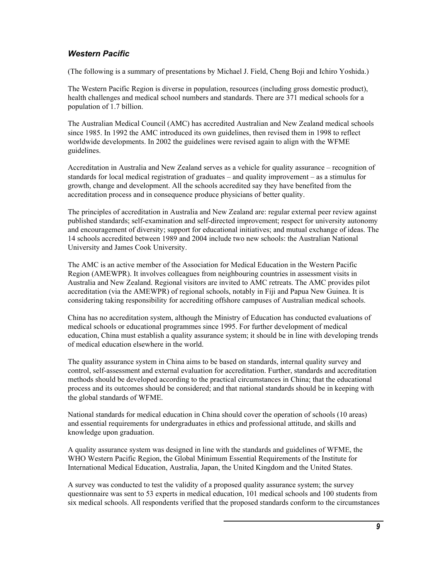# *Western Pacific*

(The following is a summary of presentations by Michael J. Field, Cheng Boji and Ichiro Yoshida.)

The Western Pacific Region is diverse in population, resources (including gross domestic product), health challenges and medical school numbers and standards. There are 371 medical schools for a population of 1.7 billion.

The Australian Medical Council (AMC) has accredited Australian and New Zealand medical schools since 1985. In 1992 the AMC introduced its own guidelines, then revised them in 1998 to reflect worldwide developments. In 2002 the guidelines were revised again to align with the WFME guidelines.

Accreditation in Australia and New Zealand serves as a vehicle for quality assurance – recognition of standards for local medical registration of graduates – and quality improvement – as a stimulus for growth, change and development. All the schools accredited say they have benefited from the accreditation process and in consequence produce physicians of better quality.

The principles of accreditation in Australia and New Zealand are: regular external peer review against published standards; self-examination and self-directed improvement; respect for university autonomy and encouragement of diversity; support for educational initiatives; and mutual exchange of ideas. The 14 schools accredited between 1989 and 2004 include two new schools: the Australian National University and James Cook University.

The AMC is an active member of the Association for Medical Education in the Western Pacific Region (AMEWPR). It involves colleagues from neighbouring countries in assessment visits in Australia and New Zealand. Regional visitors are invited to AMC retreats. The AMC provides pilot accreditation (via the AMEWPR) of regional schools, notably in Fiji and Papua New Guinea. It is considering taking responsibility for accrediting offshore campuses of Australian medical schools.

China has no accreditation system, although the Ministry of Education has conducted evaluations of medical schools or educational programmes since 1995. For further development of medical education, China must establish a quality assurance system; it should be in line with developing trends of medical education elsewhere in the world.

The quality assurance system in China aims to be based on standards, internal quality survey and control, self-assessment and external evaluation for accreditation. Further, standards and accreditation methods should be developed according to the practical circumstances in China; that the educational process and its outcomes should be considered; and that national standards should be in keeping with the global standards of WFME.

National standards for medical education in China should cover the operation of schools (10 areas) and essential requirements for undergraduates in ethics and professional attitude, and skills and knowledge upon graduation.

A quality assurance system was designed in line with the standards and guidelines of WFME, the WHO Western Pacific Region, the Global Minimum Essential Requirements of the Institute for International Medical Education, Australia, Japan, the United Kingdom and the United States.

A survey was conducted to test the validity of a proposed quality assurance system; the survey questionnaire was sent to 53 experts in medical education, 101 medical schools and 100 students from six medical schools. All respondents verified that the proposed standards conform to the circumstances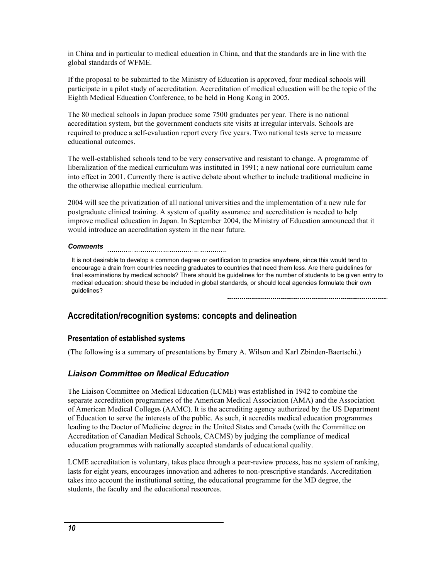in China and in particular to medical education in China, and that the standards are in line with the global standards of WFME.

If the proposal to be submitted to the Ministry of Education is approved, four medical schools will participate in a pilot study of accreditation. Accreditation of medical education will be the topic of the Eighth Medical Education Conference, to be held in Hong Kong in 2005.

The 80 medical schools in Japan produce some 7500 graduates per year. There is no national accreditation system, but the government conducts site visits at irregular intervals. Schools are required to produce a self-evaluation report every five years. Two national tests serve to measure educational outcomes.

The well-established schools tend to be very conservative and resistant to change. A programme of liberalization of the medical curriculum was instituted in 1991; a new national core curriculum came into effect in 2001. Currently there is active debate about whether to include traditional medicine in the otherwise allopathic medical curriculum.

2004 will see the privatization of all national universities and the implementation of a new rule for postgraduate clinical training. A system of quality assurance and accreditation is needed to help improve medical education in Japan. In September 2004, the Ministry of Education announced that it would introduce an accreditation system in the near future.

# *Comments*  It is not desirable to develop a common degree or certification to practice anywhere, since this would tend to

encourage a drain from countries needing graduates to countries that need them less. Are there guidelines for final examinations by medical schools? There should be guidelines for the number of students to be given entry to medical education: should these be included in global standards, or should local agencies formulate their own guidelines?

# **Accreditation/recognition systems: concepts and delineation**

# **Presentation of established systems**

(The following is a summary of presentations by Emery A. Wilson and Karl Zbinden-Baertschi.)

# *Liaison Committee on Medical Education*

The Liaison Committee on Medical Education (LCME) was established in 1942 to combine the separate accreditation programmes of the American Medical Association (AMA) and the Association of American Medical Colleges (AAMC). It is the accrediting agency authorized by the US Department of Education to serve the interests of the public. As such, it accredits medical education programmes leading to the Doctor of Medicine degree in the United States and Canada (with the Committee on Accreditation of Canadian Medical Schools, CACMS) by judging the compliance of medical education programmes with nationally accepted standards of educational quality.

LCME accreditation is voluntary, takes place through a peer-review process, has no system of ranking, lasts for eight years, encourages innovation and adheres to non-prescriptive standards. Accreditation takes into account the institutional setting, the educational programme for the MD degree, the students, the faculty and the educational resources.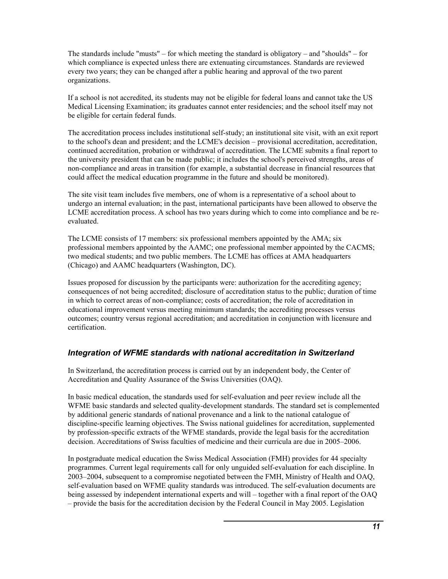The standards include "musts" – for which meeting the standard is obligatory – and "shoulds" – for which compliance is expected unless there are extenuating circumstances. Standards are reviewed every two years; they can be changed after a public hearing and approval of the two parent organizations.

If a school is not accredited, its students may not be eligible for federal loans and cannot take the US Medical Licensing Examination; its graduates cannot enter residencies; and the school itself may not be eligible for certain federal funds.

The accreditation process includes institutional self-study; an institutional site visit, with an exit report to the school's dean and president; and the LCME's decision – provisional accreditation, accreditation, continued accreditation, probation or withdrawal of accreditation. The LCME submits a final report to the university president that can be made public; it includes the school's perceived strengths, areas of non-compliance and areas in transition (for example, a substantial decrease in financial resources that could affect the medical education programme in the future and should be monitored).

The site visit team includes five members, one of whom is a representative of a school about to undergo an internal evaluation; in the past, international participants have been allowed to observe the LCME accreditation process. A school has two years during which to come into compliance and be reevaluated.

The LCME consists of 17 members: six professional members appointed by the AMA; six professional members appointed by the AAMC; one professional member appointed by the CACMS; two medical students; and two public members. The LCME has offices at AMA headquarters (Chicago) and AAMC headquarters (Washington, DC).

Issues proposed for discussion by the participants were: authorization for the accrediting agency; consequences of not being accredited; disclosure of accreditation status to the public; duration of time in which to correct areas of non-compliance; costs of accreditation; the role of accreditation in educational improvement versus meeting minimum standards; the accrediting processes versus outcomes; country versus regional accreditation; and accreditation in conjunction with licensure and certification.

# *Integration of WFME standards with national accreditation in Switzerland*

In Switzerland, the accreditation process is carried out by an independent body, the Center of Accreditation and Quality Assurance of the Swiss Universities (OAQ).

In basic medical education, the standards used for self-evaluation and peer review include all the WFME basic standards and selected quality-development standards. The standard set is complemented by additional generic standards of national provenance and a link to the national catalogue of discipline-specific learning objectives. The Swiss national guidelines for accreditation, supplemented by profession-specific extracts of the WFME standards, provide the legal basis for the accreditation decision. Accreditations of Swiss faculties of medicine and their curricula are due in 2005–2006.

In postgraduate medical education the Swiss Medical Association (FMH) provides for 44 specialty programmes. Current legal requirements call for only unguided self-evaluation for each discipline. In 2003–2004, subsequent to a compromise negotiated between the FMH, Ministry of Health and OAQ, self-evaluation based on WFME quality standards was introduced. The self-evaluation documents are being assessed by independent international experts and will – together with a final report of the OAQ – provide the basis for the accreditation decision by the Federal Council in May 2005. Legislation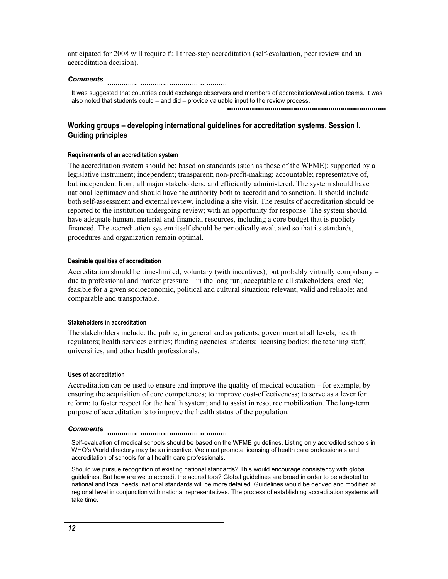anticipated for 2008 will require full three-step accreditation (self-evaluation, peer review and an accreditation decision).

#### *Comments*

# 

It was suggested that countries could exchange observers and members of accreditation/evaluation teams. It was also noted that students could – and did – provide valuable input to the review process. 

# **Working groups – developing international guidelines for accreditation systems. Session I. Guiding principles**

#### **Requirements of an accreditation system**

The accreditation system should be: based on standards (such as those of the WFME); supported by a legislative instrument; independent; transparent; non-profit-making; accountable; representative of, but independent from, all major stakeholders; and efficiently administered. The system should have national legitimacy and should have the authority both to accredit and to sanction. It should include both self-assessment and external review, including a site visit. The results of accreditation should be reported to the institution undergoing review; with an opportunity for response. The system should have adequate human, material and financial resources, including a core budget that is publicly financed. The accreditation system itself should be periodically evaluated so that its standards, procedures and organization remain optimal.

#### **Desirable qualities of accreditation**

Accreditation should be time-limited; voluntary (with incentives), but probably virtually compulsory – due to professional and market pressure – in the long run; acceptable to all stakeholders; credible; feasible for a given socioeconomic, political and cultural situation; relevant; valid and reliable; and comparable and transportable.

#### **Stakeholders in accreditation**

The stakeholders include: the public, in general and as patients; government at all levels; health regulators; health services entities; funding agencies; students; licensing bodies; the teaching staff; universities; and other health professionals.

#### **Uses of accreditation**

Accreditation can be used to ensure and improve the quality of medical education – for example, by ensuring the acquisition of core competences; to improve cost-effectiveness; to serve as a lever for reform; to foster respect for the health system; and to assist in resource mobilization. The long-term purpose of accreditation is to improve the health status of the population.

#### *Comments*

Self-evaluation of medical schools should be based on the WFME guidelines. Listing only accredited schools in WHO's World directory may be an incentive. We must promote licensing of health care professionals and accreditation of schools for all health care professionals.

Should we pursue recognition of existing national standards? This would encourage consistency with global guidelines. But how are we to accredit the accreditors? Global guidelines are broad in order to be adapted to national and local needs; national standards will be more detailed. Guidelines would be derived and modified at regional level in conjunction with national representatives. The process of establishing accreditation systems will take time.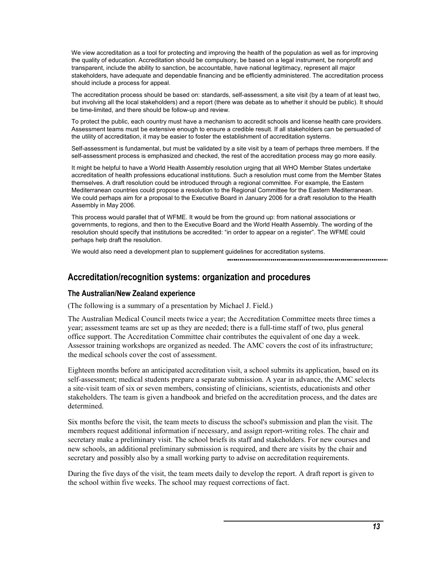We view accreditation as a tool for protecting and improving the health of the population as well as for improving the quality of education. Accreditation should be compulsory, be based on a legal instrument, be nonprofit and transparent, include the ability to sanction, be accountable, have national legitimacy, represent all major stakeholders, have adequate and dependable financing and be efficiently administered. The accreditation process should include a process for appeal.

The accreditation process should be based on: standards, self-assessment, a site visit (by a team of at least two, but involving all the local stakeholders) and a report (there was debate as to whether it should be public). It should be time-limited, and there should be follow-up and review.

To protect the public, each country must have a mechanism to accredit schools and license health care providers. Assessment teams must be extensive enough to ensure a credible result. If all stakeholders can be persuaded of the utility of accreditation, it may be easier to foster the establishment of accreditation systems.

Self-assessment is fundamental, but must be validated by a site visit by a team of perhaps three members. If the self-assessment process is emphasized and checked, the rest of the accreditation process may go more easily.

It might be helpful to have a World Health Assembly resolution urging that all WHO Member States undertake accreditation of health professions educational institutions. Such a resolution must come from the Member States themselves. A draft resolution could be introduced through a regional committee. For example, the Eastern Mediterranean countries could propose a resolution to the Regional Committee for the Eastern Mediterranean. We could perhaps aim for a proposal to the Executive Board in January 2006 for a draft resolution to the Health Assembly in May 2006.

This process would parallel that of WFME. It would be from the ground up: from national associations or governments, to regions, and then to the Executive Board and the World Health Assembly. The wording of the resolution should specify that institutions be accredited: "in order to appear on a register". The WFME could perhaps help draft the resolution.

We would also need a development plan to supplement guidelines for accreditation systems.

# **Accreditation/recognition systems: organization and procedures**

#### **The Australian/New Zealand experience**

(The following is a summary of a presentation by Michael J. Field.)

The Australian Medical Council meets twice a year; the Accreditation Committee meets three times a year; assessment teams are set up as they are needed; there is a full-time staff of two, plus general office support. The Accreditation Committee chair contributes the equivalent of one day a week. Assessor training workshops are organized as needed. The AMC covers the cost of its infrastructure; the medical schools cover the cost of assessment.

Eighteen months before an anticipated accreditation visit, a school submits its application, based on its self-assessment; medical students prepare a separate submission. A year in advance, the AMC selects a site-visit team of six or seven members, consisting of clinicians, scientists, educationists and other stakeholders. The team is given a handbook and briefed on the accreditation process, and the dates are determined.

Six months before the visit, the team meets to discuss the school's submission and plan the visit. The members request additional information if necessary, and assign report-writing roles. The chair and secretary make a preliminary visit. The school briefs its staff and stakeholders. For new courses and new schools, an additional preliminary submission is required, and there are visits by the chair and secretary and possibly also by a small working party to advise on accreditation requirements.

During the five days of the visit, the team meets daily to develop the report. A draft report is given to the school within five weeks. The school may request corrections of fact.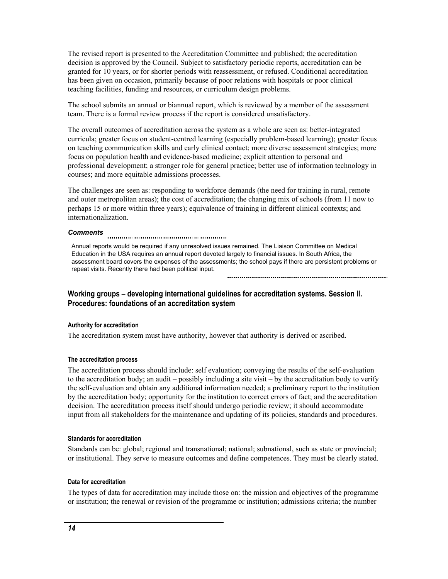The revised report is presented to the Accreditation Committee and published; the accreditation decision is approved by the Council. Subject to satisfactory periodic reports, accreditation can be granted for 10 years, or for shorter periods with reassessment, or refused. Conditional accreditation has been given on occasion, primarily because of poor relations with hospitals or poor clinical teaching facilities, funding and resources, or curriculum design problems.

The school submits an annual or biannual report, which is reviewed by a member of the assessment team. There is a formal review process if the report is considered unsatisfactory.

The overall outcomes of accreditation across the system as a whole are seen as: better-integrated curricula; greater focus on student-centred learning (especially problem-based learning); greater focus on teaching communication skills and early clinical contact; more diverse assessment strategies; more focus on population health and evidence-based medicine; explicit attention to personal and professional development; a stronger role for general practice; better use of information technology in courses; and more equitable admissions processes.

The challenges are seen as: responding to workforce demands (the need for training in rural, remote and outer metropolitan areas); the cost of accreditation; the changing mix of schools (from 11 now to perhaps 15 or more within three years); equivalence of training in different clinical contexts; and internationalization.

# *Comments*

Annual reports would be required if any unresolved issues remained. The Liaison Committee on Medical Education in the USA requires an annual report devoted largely to financial issues. In South Africa, the assessment board covers the expenses of the assessments; the school pays if there are persistent problems or repeat visits. Recently there had been political input.

#### 

# **Working groups – developing international guidelines for accreditation systems. Session II. Procedures: foundations of an accreditation system**

#### **Authority for accreditation**

The accreditation system must have authority, however that authority is derived or ascribed.

#### **The accreditation process**

The accreditation process should include: self evaluation; conveying the results of the self-evaluation to the accreditation body; an audit – possibly including a site visit – by the accreditation body to verify the self-evaluation and obtain any additional information needed; a preliminary report to the institution by the accreditation body; opportunity for the institution to correct errors of fact; and the accreditation decision. The accreditation process itself should undergo periodic review; it should accommodate input from all stakeholders for the maintenance and updating of its policies, standards and procedures.

#### **Standards for accreditation**

Standards can be: global; regional and transnational; national; subnational, such as state or provincial; or institutional. They serve to measure outcomes and define competences. They must be clearly stated.

#### **Data for accreditation**

The types of data for accreditation may include those on: the mission and objectives of the programme or institution; the renewal or revision of the programme or institution; admissions criteria; the number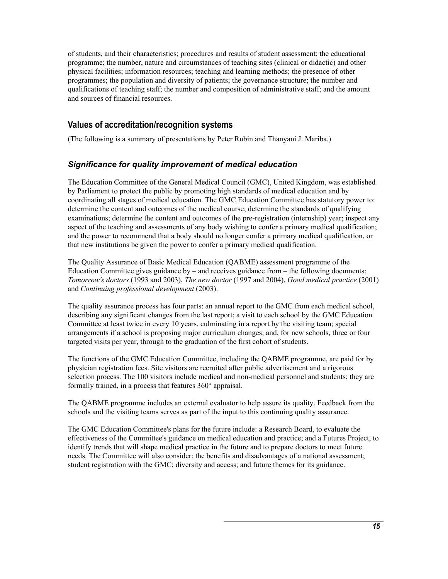of students, and their characteristics; procedures and results of student assessment; the educational programme; the number, nature and circumstances of teaching sites (clinical or didactic) and other physical facilities; information resources; teaching and learning methods; the presence of other programmes; the population and diversity of patients; the governance structure; the number and qualifications of teaching staff; the number and composition of administrative staff; and the amount and sources of financial resources.

# **Values of accreditation/recognition systems**

(The following is a summary of presentations by Peter Rubin and Thanyani J. Mariba.)

# *Significance for quality improvement of medical education*

The Education Committee of the General Medical Council (GMC), United Kingdom, was established by Parliament to protect the public by promoting high standards of medical education and by coordinating all stages of medical education. The GMC Education Committee has statutory power to: determine the content and outcomes of the medical course; determine the standards of qualifying examinations; determine the content and outcomes of the pre-registration (internship) year; inspect any aspect of the teaching and assessments of any body wishing to confer a primary medical qualification; and the power to recommend that a body should no longer confer a primary medical qualification, or that new institutions be given the power to confer a primary medical qualification.

The Quality Assurance of Basic Medical Education (QABME) assessment programme of the Education Committee gives guidance by – and receives guidance from – the following documents: *Tomorrow's doctors* (1993 and 2003), *The new doctor* (1997 and 2004), *Good medical practice* (2001) and *Continuing professional development* (2003).

The quality assurance process has four parts: an annual report to the GMC from each medical school, describing any significant changes from the last report; a visit to each school by the GMC Education Committee at least twice in every 10 years, culminating in a report by the visiting team; special arrangements if a school is proposing major curriculum changes; and, for new schools, three or four targeted visits per year, through to the graduation of the first cohort of students.

The functions of the GMC Education Committee, including the QABME programme, are paid for by physician registration fees. Site visitors are recruited after public advertisement and a rigorous selection process. The 100 visitors include medical and non-medical personnel and students; they are formally trained, in a process that features 360° appraisal.

The QABME programme includes an external evaluator to help assure its quality. Feedback from the schools and the visiting teams serves as part of the input to this continuing quality assurance.

The GMC Education Committee's plans for the future include: a Research Board, to evaluate the effectiveness of the Committee's guidance on medical education and practice; and a Futures Project, to identify trends that will shape medical practice in the future and to prepare doctors to meet future needs. The Committee will also consider: the benefits and disadvantages of a national assessment; student registration with the GMC; diversity and access; and future themes for its guidance.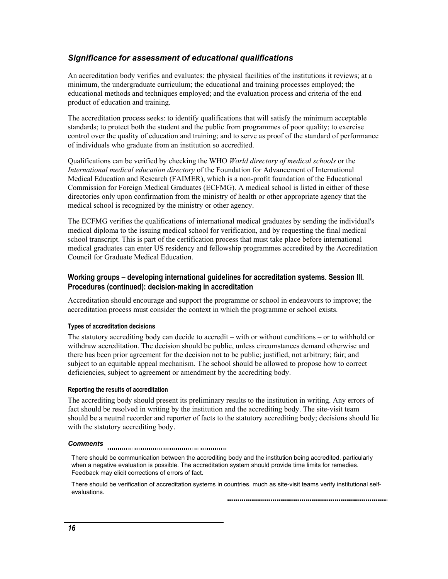# *Significance for assessment of educational qualifications*

An accreditation body verifies and evaluates: the physical facilities of the institutions it reviews; at a minimum, the undergraduate curriculum; the educational and training processes employed; the educational methods and techniques employed; and the evaluation process and criteria of the end product of education and training.

The accreditation process seeks: to identify qualifications that will satisfy the minimum acceptable standards; to protect both the student and the public from programmes of poor quality; to exercise control over the quality of education and training; and to serve as proof of the standard of performance of individuals who graduate from an institution so accredited.

Qualifications can be verified by checking the WHO *World directory of medical schools* or the *International medical education directory* of the Foundation for Advancement of International Medical Education and Research (FAIMER), which is a non-profit foundation of the Educational Commission for Foreign Medical Graduates (ECFMG). A medical school is listed in either of these directories only upon confirmation from the ministry of health or other appropriate agency that the medical school is recognized by the ministry or other agency.

The ECFMG verifies the qualifications of international medical graduates by sending the individual's medical diploma to the issuing medical school for verification, and by requesting the final medical school transcript. This is part of the certification process that must take place before international medical graduates can enter US residency and fellowship programmes accredited by the Accreditation Council for Graduate Medical Education.

# **Working groups – developing international guidelines for accreditation systems. Session III. Procedures (continued): decision-making in accreditation**

Accreditation should encourage and support the programme or school in endeavours to improve; the accreditation process must consider the context in which the programme or school exists.

#### **Types of accreditation decisions**

The statutory accrediting body can decide to accredit – with or without conditions – or to withhold or withdraw accreditation. The decision should be public, unless circumstances demand otherwise and there has been prior agreement for the decision not to be public; justified, not arbitrary; fair; and subject to an equitable appeal mechanism. The school should be allowed to propose how to correct deficiencies, subject to agreement or amendment by the accrediting body.

#### **Reporting the results of accreditation**

The accrediting body should present its preliminary results to the institution in writing. Any errors of fact should be resolved in writing by the institution and the accrediting body. The site-visit team should be a neutral recorder and reporter of facts to the statutory accrediting body; decisions should lie with the statutory accrediting body.

# *Comments*

There should be communication between the accrediting body and the institution being accredited, particularly when a negative evaluation is possible. The accreditation system should provide time limits for remedies. Feedback may elicit corrections of errors of fact.

There should be verification of accreditation systems in countries, much as site-visit teams verify institutional selfevaluations.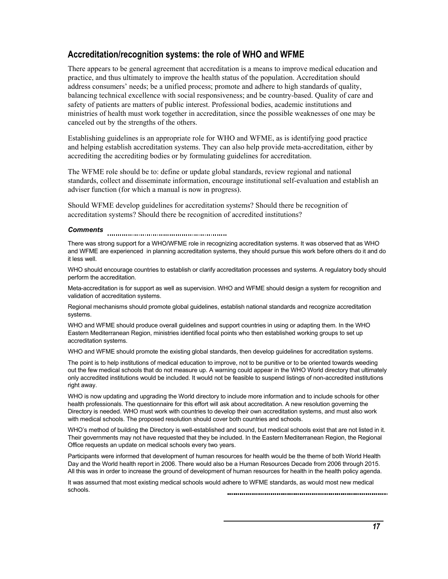# **Accreditation/recognition systems: the role of WHO and WFME**

There appears to be general agreement that accreditation is a means to improve medical education and practice, and thus ultimately to improve the health status of the population. Accreditation should address consumers' needs; be a unified process; promote and adhere to high standards of quality, balancing technical excellence with social responsiveness; and be country-based. Quality of care and safety of patients are matters of public interest. Professional bodies, academic institutions and ministries of health must work together in accreditation, since the possible weaknesses of one may be canceled out by the strengths of the others.

Establishing guidelines is an appropriate role for WHO and WFME, as is identifying good practice and helping establish accreditation systems. They can also help provide meta-accreditation, either by accrediting the accrediting bodies or by formulating guidelines for accreditation.

The WFME role should be to: define or update global standards, review regional and national standards, collect and disseminate information, encourage institutional self-evaluation and establish an adviser function (for which a manual is now in progress).

Should WFME develop guidelines for accreditation systems? Should there be recognition of accreditation systems? Should there be recognition of accredited institutions?

# *Comments*

There was strong support for a WHO/WFME role in recognizing accreditation systems. It was observed that as WHO and WFME are experienced in planning accreditation systems, they should pursue this work before others do it and do it less well.

WHO should encourage countries to establish or clarify accreditation processes and systems. A regulatory body should perform the accreditation.

Meta-accreditation is for support as well as supervision. WHO and WFME should design a system for recognition and validation of accreditation systems.

Regional mechanisms should promote global guidelines, establish national standards and recognize accreditation systems.

WHO and WFME should produce overall guidelines and support countries in using or adapting them. In the WHO Eastern Mediterranean Region, ministries identified focal points who then established working groups to set up accreditation systems.

WHO and WFME should promote the existing global standards, then develop guidelines for accreditation systems.

The point is to help institutions of medical education to improve, not to be punitive or to be oriented towards weeding out the few medical schools that do not measure up. A warning could appear in the WHO World directory that ultimately only accredited institutions would be included. It would not be feasible to suspend listings of non-accredited institutions right away.

WHO is now updating and upgrading the World directory to include more information and to include schools for other health professionals. The questionnaire for this effort will ask about accreditation. A new resolution governing the Directory is needed. WHO must work with countries to develop their own accreditation systems, and must also work with medical schools. The proposed resolution should cover both countries and schools.

WHO's method of building the Directory is well-established and sound, but medical schools exist that are not listed in it. Their governments may not have requested that they be included. In the Eastern Mediterranean Region, the Regional Office requests an update on medical schools every two years.

Participants were informed that development of human resources for health would be the theme of both World Health Day and the World health report in 2006. There would also be a Human Resources Decade from 2006 through 2015. All this was in order to increase the ground of development of human resources for health in the health policy agenda.

It was assumed that most existing medical schools would adhere to WFME standards, as would most new medical schools.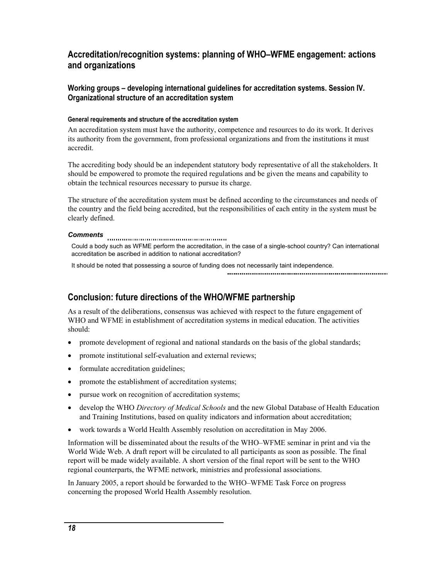# **Accreditation/recognition systems: planning of WHO–WFME engagement: actions and organizations**

# **Working groups – developing international guidelines for accreditation systems. Session IV. Organizational structure of an accreditation system**

### **General requirements and structure of the accreditation system**

An accreditation system must have the authority, competence and resources to do its work. It derives its authority from the government, from professional organizations and from the institutions it must accredit.

The accrediting body should be an independent statutory body representative of all the stakeholders. It should be empowered to promote the required regulations and be given the means and capability to obtain the technical resources necessary to pursue its charge.

The structure of the accreditation system must be defined according to the circumstances and needs of the country and the field being accredited, but the responsibilities of each entity in the system must be clearly defined.

#### *Comments*

Could a body such as WFME perform the accreditation, in the case of a single-school country? Can international accreditation be ascribed in addition to national accreditation?

It should be noted that possessing a source of funding does not necessarily taint independence.

#### 

# **Conclusion: future directions of the WHO/WFME partnership**

As a result of the deliberations, consensus was achieved with respect to the future engagement of WHO and WFME in establishment of accreditation systems in medical education. The activities should:

- promote development of regional and national standards on the basis of the global standards;
- promote institutional self-evaluation and external reviews;
- formulate accreditation guidelines;
- promote the establishment of accreditation systems;
- pursue work on recognition of accreditation systems;
- develop the WHO *Directory of Medical Schools* and the new Global Database of Health Education and Training Institutions, based on quality indicators and information about accreditation;
- work towards a World Health Assembly resolution on accreditation in May 2006.

Information will be disseminated about the results of the WHO–WFME seminar in print and via the World Wide Web. A draft report will be circulated to all participants as soon as possible. The final report will be made widely available. A short version of the final report will be sent to the WHO regional counterparts, the WFME network, ministries and professional associations.

In January 2005, a report should be forwarded to the WHO–WFME Task Force on progress concerning the proposed World Health Assembly resolution.